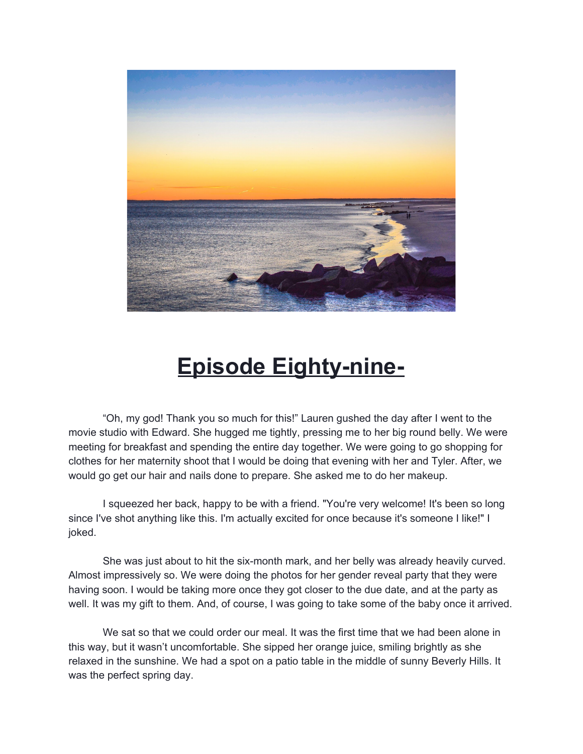

## **Episode Eighty-nine-**

"Oh, my god! Thank you so much for this!" Lauren gushed the day after I went to the movie studio with Edward. She hugged me tightly, pressing me to her big round belly. We were meeting for breakfast and spending the entire day together. We were going to go shopping for clothes for her maternity shoot that I would be doing that evening with her and Tyler. After, we would go get our hair and nails done to prepare. She asked me to do her makeup.

I squeezed her back, happy to be with a friend. "You're very welcome! It's been so long since I've shot anything like this. I'm actually excited for once because it's someone I like!" I joked.

She was just about to hit the six-month mark, and her belly was already heavily curved. Almost impressively so. We were doing the photos for her gender reveal party that they were having soon. I would be taking more once they got closer to the due date, and at the party as well. It was my gift to them. And, of course, I was going to take some of the baby once it arrived.

We sat so that we could order our meal. It was the first time that we had been alone in this way, but it wasn't uncomfortable. She sipped her orange juice, smiling brightly as she relaxed in the sunshine. We had a spot on a patio table in the middle of sunny Beverly Hills. It was the perfect spring day.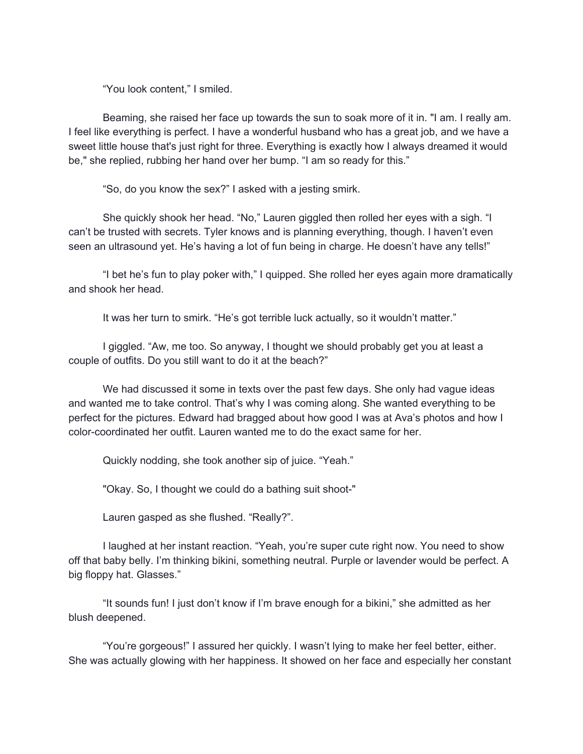"You look content," I smiled.

Beaming, she raised her face up towards the sun to soak more of it in. "I am. I really am. I feel like everything is perfect. I have a wonderful husband who has a great job, and we have a sweet little house that's just right for three. Everything is exactly how I always dreamed it would be," she replied, rubbing her hand over her bump. "I am so ready for this."

"So, do you know the sex?" I asked with a jesting smirk.

She quickly shook her head. "No," Lauren giggled then rolled her eyes with a sigh. "I can't be trusted with secrets. Tyler knows and is planning everything, though. I haven't even seen an ultrasound yet. He's having a lot of fun being in charge. He doesn't have any tells!"

"I bet he's fun to play poker with," I quipped. She rolled her eyes again more dramatically and shook her head.

It was her turn to smirk. "He's got terrible luck actually, so it wouldn't matter."

I giggled. "Aw, me too. So anyway, I thought we should probably get you at least a couple of outfits. Do you still want to do it at the beach?"

We had discussed it some in texts over the past few days. She only had vague ideas and wanted me to take control. That's why I was coming along. She wanted everything to be perfect for the pictures. Edward had bragged about how good I was at Ava's photos and how I color-coordinated her outfit. Lauren wanted me to do the exact same for her.

Quickly nodding, she took another sip of juice. "Yeah."

"Okay. So, I thought we could do a bathing suit shoot-"

Lauren gasped as she flushed. "Really?".

I laughed at her instant reaction. "Yeah, you're super cute right now. You need to show off that baby belly. I'm thinking bikini, something neutral. Purple or lavender would be perfect. A big floppy hat. Glasses."

"It sounds fun! I just don't know if I'm brave enough for a bikini," she admitted as her blush deepened.

"You're gorgeous!" I assured her quickly. I wasn't lying to make her feel better, either. She was actually glowing with her happiness. It showed on her face and especially her constant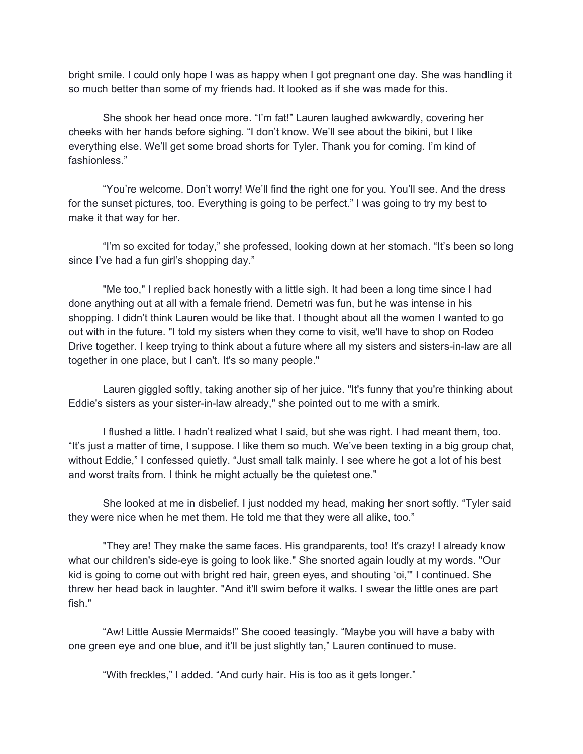bright smile. I could only hope I was as happy when I got pregnant one day. She was handling it so much better than some of my friends had. It looked as if she was made for this.

She shook her head once more. "I'm fat!" Lauren laughed awkwardly, covering her cheeks with her hands before sighing. "I don't know. We'll see about the bikini, but I like everything else. We'll get some broad shorts for Tyler. Thank you for coming. I'm kind of fashionless."

"You're welcome. Don't worry! We'll find the right one for you. You'll see. And the dress for the sunset pictures, too. Everything is going to be perfect." I was going to try my best to make it that way for her.

"I'm so excited for today," she professed, looking down at her stomach. "It's been so long since I've had a fun girl's shopping day."

"Me too," I replied back honestly with a little sigh. It had been a long time since I had done anything out at all with a female friend. Demetri was fun, but he was intense in his shopping. I didn't think Lauren would be like that. I thought about all the women I wanted to go out with in the future. "I told my sisters when they come to visit, we'll have to shop on Rodeo Drive together. I keep trying to think about a future where all my sisters and sisters-in-law are all together in one place, but I can't. It's so many people."

Lauren giggled softly, taking another sip of her juice. "It's funny that you're thinking about Eddie's sisters as your sister-in-law already," she pointed out to me with a smirk.

I flushed a little. I hadn't realized what I said, but she was right. I had meant them, too. "It's just a matter of time, I suppose. I like them so much. We've been texting in a big group chat, without Eddie," I confessed quietly. "Just small talk mainly. I see where he got a lot of his best and worst traits from. I think he might actually be the quietest one."

She looked at me in disbelief. I just nodded my head, making her snort softly. "Tyler said they were nice when he met them. He told me that they were all alike, too."

"They are! They make the same faces. His grandparents, too! It's crazy! I already know what our children's side-eye is going to look like." She snorted again loudly at my words. "Our kid is going to come out with bright red hair, green eyes, and shouting 'oi,'" I continued. She threw her head back in laughter. "And it'll swim before it walks. I swear the little ones are part fish."

"Aw! Little Aussie Mermaids!" She cooed teasingly. "Maybe you will have a baby with one green eye and one blue, and it'll be just slightly tan," Lauren continued to muse.

"With freckles," I added. "And curly hair. His is too as it gets longer."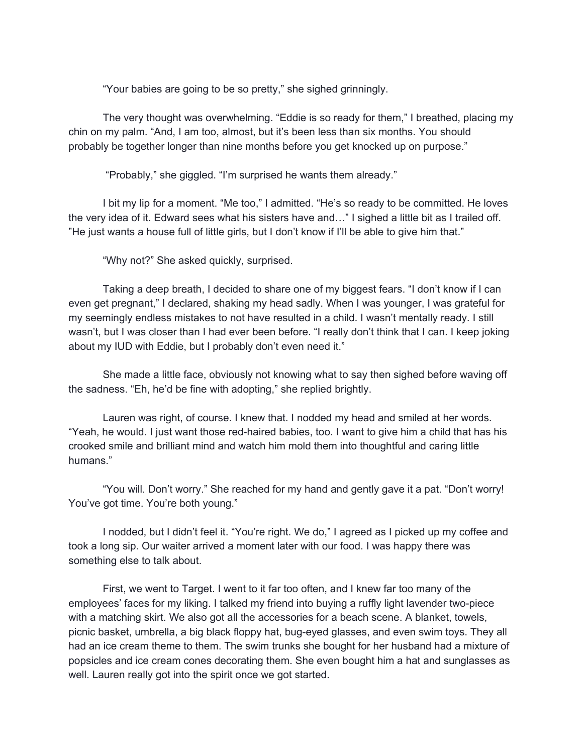"Your babies are going to be so pretty," she sighed grinningly.

The very thought was overwhelming. "Eddie is so ready for them," I breathed, placing my chin on my palm. "And, I am too, almost, but it's been less than six months. You should probably be together longer than nine months before you get knocked up on purpose."

"Probably," she giggled. "I'm surprised he wants them already."

I bit my lip for a moment. "Me too," I admitted. "He's so ready to be committed. He loves the very idea of it. Edward sees what his sisters have and…" I sighed a little bit as I trailed off. "He just wants a house full of little girls, but I don't know if I'll be able to give him that."

"Why not?" She asked quickly, surprised.

Taking a deep breath, I decided to share one of my biggest fears. "I don't know if I can even get pregnant," I declared, shaking my head sadly. When I was younger, I was grateful for my seemingly endless mistakes to not have resulted in a child. I wasn't mentally ready. I still wasn't, but I was closer than I had ever been before. "I really don't think that I can. I keep joking about my IUD with Eddie, but I probably don't even need it."

She made a little face, obviously not knowing what to say then sighed before waving off the sadness. "Eh, he'd be fine with adopting," she replied brightly.

Lauren was right, of course. I knew that. I nodded my head and smiled at her words. "Yeah, he would. I just want those red-haired babies, too. I want to give him a child that has his crooked smile and brilliant mind and watch him mold them into thoughtful and caring little humans."

"You will. Don't worry." She reached for my hand and gently gave it a pat. "Don't worry! You've got time. You're both young."

I nodded, but I didn't feel it. "You're right. We do," I agreed as I picked up my coffee and took a long sip. Our waiter arrived a moment later with our food. I was happy there was something else to talk about.

First, we went to Target. I went to it far too often, and I knew far too many of the employees' faces for my liking. I talked my friend into buying a ruffly light lavender two-piece with a matching skirt. We also got all the accessories for a beach scene. A blanket, towels, picnic basket, umbrella, a big black floppy hat, bug-eyed glasses, and even swim toys. They all had an ice cream theme to them. The swim trunks she bought for her husband had a mixture of popsicles and ice cream cones decorating them. She even bought him a hat and sunglasses as well. Lauren really got into the spirit once we got started.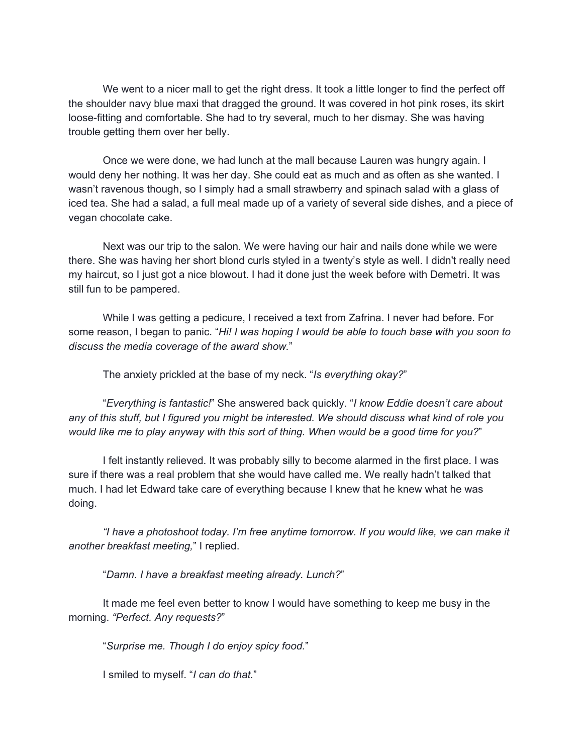We went to a nicer mall to get the right dress. It took a little longer to find the perfect off the shoulder navy blue maxi that dragged the ground. It was covered in hot pink roses, its skirt loose-fitting and comfortable. She had to try several, much to her dismay. She was having trouble getting them over her belly.

Once we were done, we had lunch at the mall because Lauren was hungry again. I would deny her nothing. It was her day. She could eat as much and as often as she wanted. I wasn't ravenous though, so I simply had a small strawberry and spinach salad with a glass of iced tea. She had a salad, a full meal made up of a variety of several side dishes, and a piece of vegan chocolate cake.

Next was our trip to the salon. We were having our hair and nails done while we were there. She was having her short blond curls styled in a twenty's style as well. I didn't really need my haircut, so I just got a nice blowout. I had it done just the week before with Demetri. It was still fun to be pampered.

While I was getting a pedicure, I received a text from Zafrina. I never had before. For some reason, I began to panic. "*Hi! I was hoping I would be able to touch base with you soon to discuss the media coverage of the award show.*"

The anxiety prickled at the base of my neck. "*Is everything okay?*"

"*Everything is fantastic!*" She answered back quickly. "*I know Eddie doesn't care about* any of this stuff, but I figured you might be interested. We should discuss what kind of role you *would like me to play anyway with this sort of thing. When would be a good time for you?*"

I felt instantly relieved. It was probably silly to become alarmed in the first place. I was sure if there was a real problem that she would have called me. We really hadn't talked that much. I had let Edward take care of everything because I knew that he knew what he was doing.

*"I have a photoshoot today. I'm free anytime tomorrow. If you would like, we can make it another breakfast meeting,*" I replied.

"*Damn. I have a breakfast meeting already. Lunch?*"

It made me feel even better to know I would have something to keep me busy in the morning. *"Perfect. Any requests?*"

"*Surprise me. Though I do enjoy spicy food.*"

I smiled to myself. "*I can do that.*"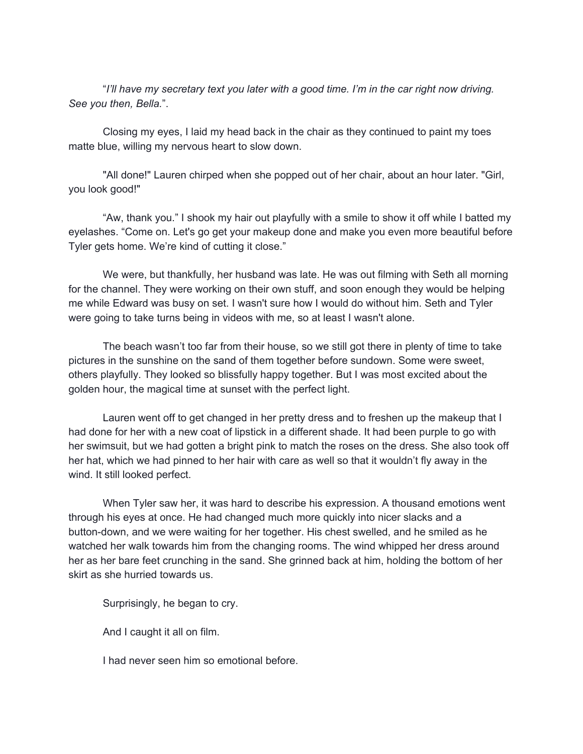"*I'll have my secretary text you later with a good time. I'm in the car right now driving. See you then, Bella.*".

Closing my eyes, I laid my head back in the chair as they continued to paint my toes matte blue, willing my nervous heart to slow down.

"All done!" Lauren chirped when she popped out of her chair, about an hour later. "Girl, you look good!"

"Aw, thank you." I shook my hair out playfully with a smile to show it off while I batted my eyelashes. "Come on. Let's go get your makeup done and make you even more beautiful before Tyler gets home. We're kind of cutting it close."

We were, but thankfully, her husband was late. He was out filming with Seth all morning for the channel. They were working on their own stuff, and soon enough they would be helping me while Edward was busy on set. I wasn't sure how I would do without him. Seth and Tyler were going to take turns being in videos with me, so at least I wasn't alone.

The beach wasn't too far from their house, so we still got there in plenty of time to take pictures in the sunshine on the sand of them together before sundown. Some were sweet, others playfully. They looked so blissfully happy together. But I was most excited about the golden hour, the magical time at sunset with the perfect light.

Lauren went off to get changed in her pretty dress and to freshen up the makeup that I had done for her with a new coat of lipstick in a different shade. It had been purple to go with her swimsuit, but we had gotten a bright pink to match the roses on the dress. She also took off her hat, which we had pinned to her hair with care as well so that it wouldn't fly away in the wind. It still looked perfect.

When Tyler saw her, it was hard to describe his expression. A thousand emotions went through his eyes at once. He had changed much more quickly into nicer slacks and a button-down, and we were waiting for her together. His chest swelled, and he smiled as he watched her walk towards him from the changing rooms. The wind whipped her dress around her as her bare feet crunching in the sand. She grinned back at him, holding the bottom of her skirt as she hurried towards us.

Surprisingly, he began to cry.

And I caught it all on film.

I had never seen him so emotional before.